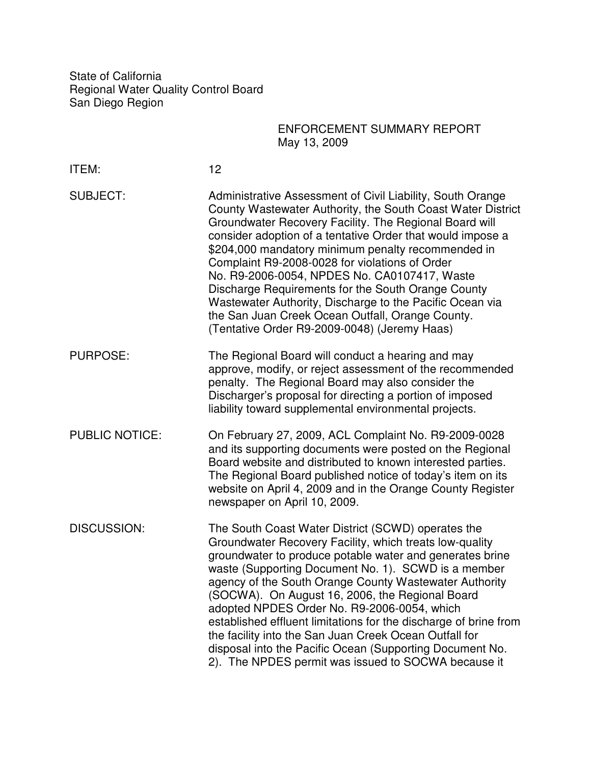State of California Regional Water Quality Control Board San Diego Region

| ENFORCEMENT SUMMARY REPORT |
|----------------------------|
| May 13, 2009               |

| ITEM:                 | 12                                                                                                                                                                                                                                                                                                                                                                                                                                                                                                                                                                                                                                            |
|-----------------------|-----------------------------------------------------------------------------------------------------------------------------------------------------------------------------------------------------------------------------------------------------------------------------------------------------------------------------------------------------------------------------------------------------------------------------------------------------------------------------------------------------------------------------------------------------------------------------------------------------------------------------------------------|
| <b>SUBJECT:</b>       | Administrative Assessment of Civil Liability, South Orange<br>County Wastewater Authority, the South Coast Water District<br>Groundwater Recovery Facility. The Regional Board will<br>consider adoption of a tentative Order that would impose a<br>\$204,000 mandatory minimum penalty recommended in<br>Complaint R9-2008-0028 for violations of Order<br>No. R9-2006-0054, NPDES No. CA0107417, Waste<br>Discharge Requirements for the South Orange County<br>Wastewater Authority, Discharge to the Pacific Ocean via<br>the San Juan Creek Ocean Outfall, Orange County.<br>(Tentative Order R9-2009-0048) (Jeremy Haas)               |
| <b>PURPOSE:</b>       | The Regional Board will conduct a hearing and may<br>approve, modify, or reject assessment of the recommended<br>penalty. The Regional Board may also consider the<br>Discharger's proposal for directing a portion of imposed<br>liability toward supplemental environmental projects.                                                                                                                                                                                                                                                                                                                                                       |
| <b>PUBLIC NOTICE:</b> | On February 27, 2009, ACL Complaint No. R9-2009-0028<br>and its supporting documents were posted on the Regional<br>Board website and distributed to known interested parties.<br>The Regional Board published notice of today's item on its<br>website on April 4, 2009 and in the Orange County Register<br>newspaper on April 10, 2009.                                                                                                                                                                                                                                                                                                    |
| <b>DISCUSSION:</b>    | The South Coast Water District (SCWD) operates the<br>Groundwater Recovery Facility, which treats low-quality<br>groundwater to produce potable water and generates brine<br>waste (Supporting Document No. 1). SCWD is a member<br>agency of the South Orange County Wastewater Authority<br>(SOCWA). On August 16, 2006, the Regional Board<br>adopted NPDES Order No. R9-2006-0054, which<br>established effluent limitations for the discharge of brine from<br>the facility into the San Juan Creek Ocean Outfall for<br>disposal into the Pacific Ocean (Supporting Document No.<br>2). The NPDES permit was issued to SOCWA because it |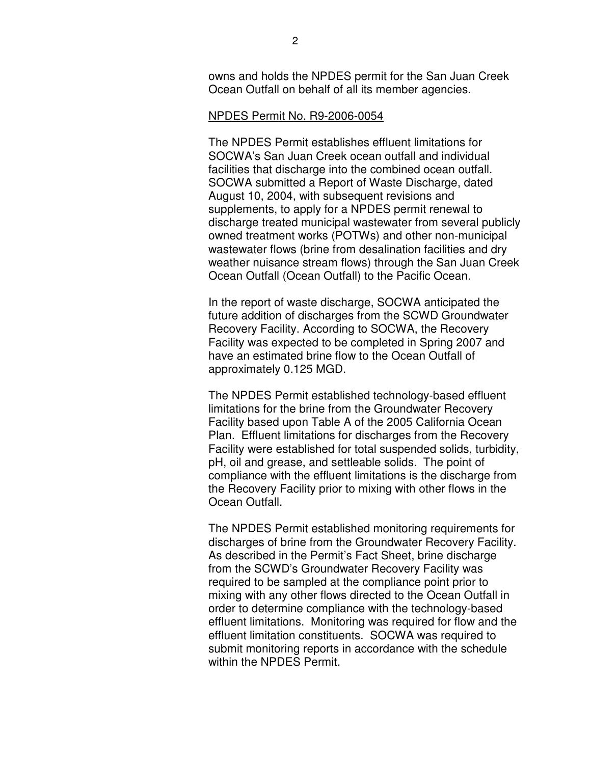owns and holds the NPDES permit for the San Juan Creek Ocean Outfall on behalf of all its member agencies.

## NPDES Permit No. R9-2006-0054

The NPDES Permit establishes effluent limitations for SOCWA's San Juan Creek ocean outfall and individual facilities that discharge into the combined ocean outfall. SOCWA submitted a Report of Waste Discharge, dated August 10, 2004, with subsequent revisions and supplements, to apply for a NPDES permit renewal to discharge treated municipal wastewater from several publicly owned treatment works (POTWs) and other non-municipal wastewater flows (brine from desalination facilities and dry weather nuisance stream flows) through the San Juan Creek Ocean Outfall (Ocean Outfall) to the Pacific Ocean.

In the report of waste discharge, SOCWA anticipated the future addition of discharges from the SCWD Groundwater Recovery Facility. According to SOCWA, the Recovery Facility was expected to be completed in Spring 2007 and have an estimated brine flow to the Ocean Outfall of approximately 0.125 MGD.

The NPDES Permit established technology-based effluent limitations for the brine from the Groundwater Recovery Facility based upon Table A of the 2005 California Ocean Plan. Effluent limitations for discharges from the Recovery Facility were established for total suspended solids, turbidity, pH, oil and grease, and settleable solids. The point of compliance with the effluent limitations is the discharge from the Recovery Facility prior to mixing with other flows in the Ocean Outfall.

The NPDES Permit established monitoring requirements for discharges of brine from the Groundwater Recovery Facility. As described in the Permit's Fact Sheet, brine discharge from the SCWD's Groundwater Recovery Facility was required to be sampled at the compliance point prior to mixing with any other flows directed to the Ocean Outfall in order to determine compliance with the technology-based effluent limitations. Monitoring was required for flow and the effluent limitation constituents. SOCWA was required to submit monitoring reports in accordance with the schedule within the NPDES Permit.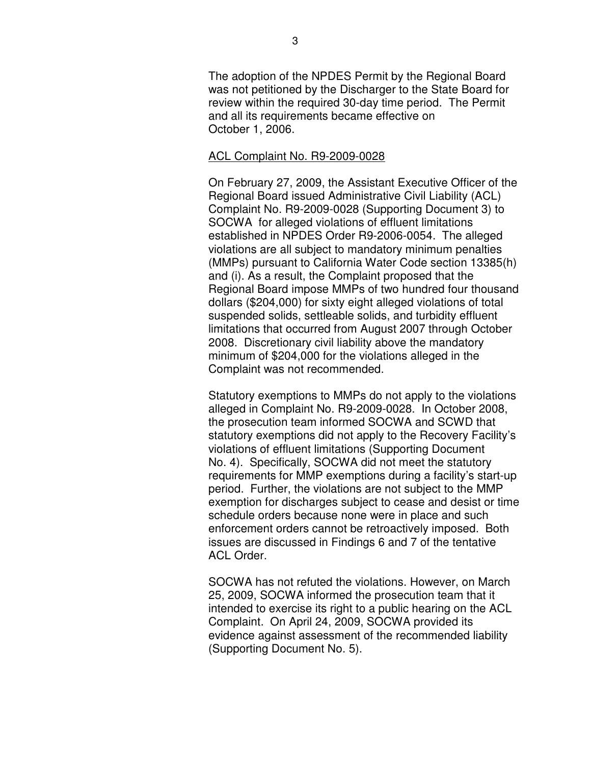The adoption of the NPDES Permit by the Regional Board was not petitioned by the Discharger to the State Board for review within the required 30-day time period. The Permit and all its requirements became effective on October 1, 2006.

## ACL Complaint No. R9-2009-0028

On February 27, 2009, the Assistant Executive Officer of the Regional Board issued Administrative Civil Liability (ACL) Complaint No. R9-2009-0028 (Supporting Document 3) to SOCWA for alleged violations of effluent limitations established in NPDES Order R9-2006-0054. The alleged violations are all subject to mandatory minimum penalties (MMPs) pursuant to California Water Code section 13385(h) and (i). As a result, the Complaint proposed that the Regional Board impose MMPs of two hundred four thousand dollars (\$204,000) for sixty eight alleged violations of total suspended solids, settleable solids, and turbidity effluent limitations that occurred from August 2007 through October 2008. Discretionary civil liability above the mandatory minimum of \$204,000 for the violations alleged in the Complaint was not recommended.

Statutory exemptions to MMPs do not apply to the violations alleged in Complaint No. R9-2009-0028. In October 2008, the prosecution team informed SOCWA and SCWD that statutory exemptions did not apply to the Recovery Facility's violations of effluent limitations (Supporting Document No. 4). Specifically, SOCWA did not meet the statutory requirements for MMP exemptions during a facility's start-up period. Further, the violations are not subject to the MMP exemption for discharges subject to cease and desist or time schedule orders because none were in place and such enforcement orders cannot be retroactively imposed. Both issues are discussed in Findings 6 and 7 of the tentative ACL Order.

SOCWA has not refuted the violations. However, on March 25, 2009, SOCWA informed the prosecution team that it intended to exercise its right to a public hearing on the ACL Complaint. On April 24, 2009, SOCWA provided its evidence against assessment of the recommended liability (Supporting Document No. 5).